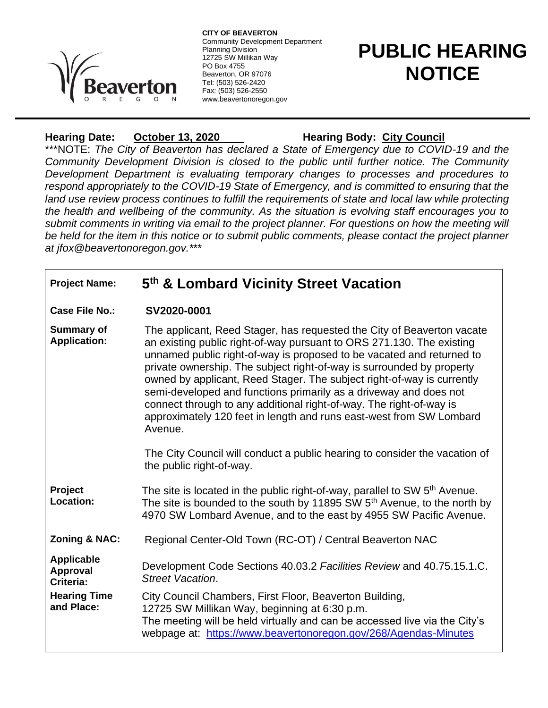

**CITY OF BEAVERTON** Community Development Department Planning Division 12725 SW Millikan Way PO Box 4755 Beaverton, OR 97076 Tel: (503) 526-2420 Fax: (503) 526-2550 www.beavertonoregon.gov

# **PUBLIC HEARING NOTICE**

## Hearing Date: **October 13, 2020** Hearing Body: City Council

\*\*\*NOTE: *The City of Beaverton has declared a State of Emergency due to COVID-19 and the Community Development Division is closed to the public until further notice. The Community Development Department is evaluating temporary changes to processes and procedures to respond appropriately to the COVID-19 State of Emergency, and is committed to ensuring that the land use review process continues to fulfill the requirements of state and local law while protecting the health and wellbeing of the community. As the situation is evolving staff encourages you to submit comments in writing via email to the project planner. For questions on how the meeting will* be held for the item in this notice or to submit public comments, please contact the project planner *at jfox@beavertonoregon.gov.\**\*\*

### **Project Name: 5 th & Lombard Vicinity Street Vacation**

**Case File No.: SV2020-0001**

**Summary of Application:** The applicant, Reed Stager, has requested the City of Beaverton vacate an existing public right-of-way pursuant to ORS 271.130. The existing unnamed public right-of-way is proposed to be vacated and returned to private ownership. The subject right-of-way is surrounded by property owned by applicant, Reed Stager. The subject right-of-way is currently semi-developed and functions primarily as a driveway and does not connect through to any additional right-of-way. The right-of-way is approximately 120 feet in length and runs east-west from SW Lombard Avenue.

> The City Council will conduct a public hearing to consider the vacation of the public right-of-way.

**Project Location:** The site is located in the public right-of-way, parallel to SW 5<sup>th</sup> Avenue. The site is bounded to the south by 11895 SW 5<sup>th</sup> Avenue, to the north by 4970 SW Lombard Avenue, and to the east by 4955 SW Pacific Avenue.

**Zoning & NAC:** Regional Center-Old Town (RC-OT) / Central Beaverton NAC

**Applicable Approval Criteria:** Development Code Sections 40.03.2 *Facilities Review* and 40.75.15.1.C. *Street Vacation*.

**Hearing Time and Place:** City Council Chambers, First Floor, Beaverton Building, 12725 SW Millikan Way, beginning at 6:30 p.m.

The meeting will be held virtually and can be accessed live via the City's webpage at: <https://www.beavertonoregon.gov/268/Agendas-Minutes>